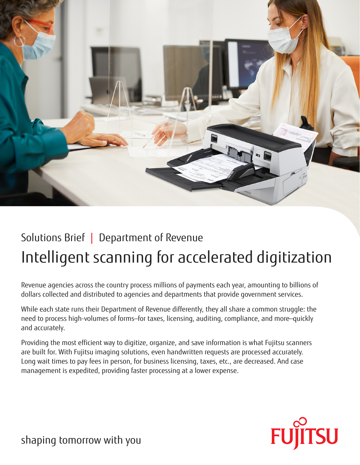

# Solutions Brief | Department of Revenue Intelligent scanning for accelerated digitization

Revenue agencies across the country process millions of payments each year, amounting to billions of dollars collected and distributed to agencies and departments that provide government services.

While each state runs their Department of Revenue differently, they all share a common struggle: the need to process high-volumes of forms—for taxes, licensing, auditing, compliance, and more—quickly and accurately.

Providing the most efficient way to digitize, organize, and save information is what Fujitsu scanners are built for. With Fujitsu imaging solutions, even handwritten requests are processed accurately. Long wait times to pay fees in person, for business licensing, taxes, etc., are decreased. And case management is expedited, providing faster processing at a lower expense.



shaping tomorrow with you